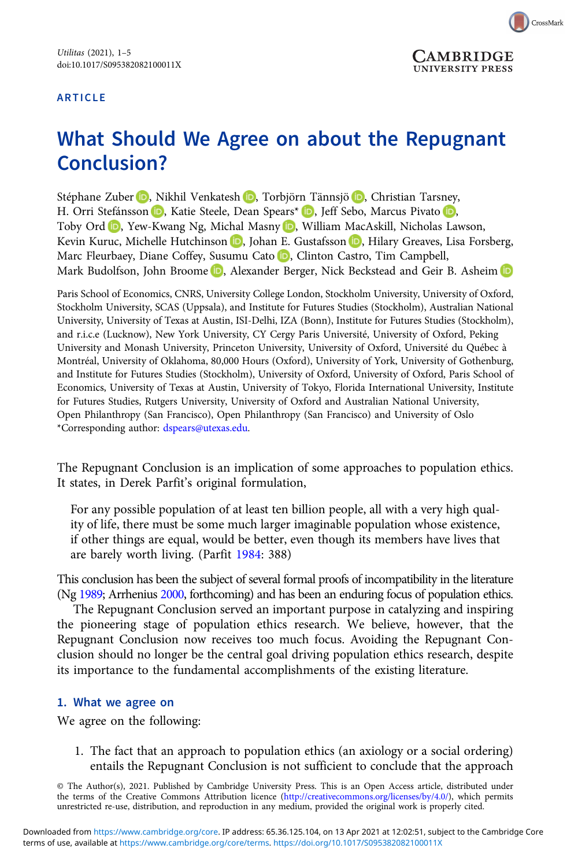### ARTICLE



# What Should We Agree on about the Repugnant Conclusion?

Stéphane Zuber **D**[,](https://orcid.org/0000-0001-9670-4608) Nikhil Venkatesh **D**, Torbjörn Tännsjö **D**, Christian Tarsney, H. Orri Stefánsson (D)[,](https://orcid.org/0000-0001-9833-6175) Katie Steele, Dean Spears\* (D), Jeff Sebo, Marcus Pivato (D), Toby Ord (D)[,](https://orcid.org/0000-0003-4644-016X) Yew-Kwang Ng, Michal Masny (D), William MacAskill, Nicholas Lawson, Kevin Kuruc[,](https://orcid.org/0000-0002-9618-577X) Michelle Hutchinson (D, Johan E. Gustafsson (D, Hilary Greaves, Lisa Forsberg, Marc Fleurbaey, Diane Coffey, Susumu Cato D, Clinton Castro, Tim Campbell, Mark Budolfson, John Broome **D**, Alexander Berger, Nick Beckstead and Geir B. Asheim **D** 

Paris School of Economics, CNRS, University College London, Stockholm University, University of Oxford, Stockholm University, SCAS (Uppsala), and Institute for Futures Studies (Stockholm), Australian National University, University of Texas at Austin, ISI-Delhi, IZA (Bonn), Institute for Futures Studies (Stockholm), and r.i.c.e (Lucknow), New York University, CY Cergy Paris Université, University of Oxford, Peking University and Monash University, Princeton University, University of Oxford, Université du Québec à Montréal, University of Oklahoma, 80,000 Hours (Oxford), University of York, University of Gothenburg, and Institute for Futures Studies (Stockholm), University of Oxford, University of Oxford, Paris School of Economics, University of Texas at Austin, University of Tokyo, Florida International University, Institute for Futures Studies, Rutgers University, University of Oxford and Australian National University, Open Philanthropy (San Francisco), Open Philanthropy (San Francisco) and University of Oslo \*Corresponding author: [dspears@utexas.edu.](mailto:dspears@utexas.edu)

The Repugnant Conclusion is an implication of some approaches to population ethics. It states, in Derek Parfit's original formulation,

For any possible population of at least ten billion people, all with a very high quality of life, there must be some much larger imaginable population whose existence, if other things are equal, would be better, even though its members have lives that are barely worth living. (Parfit [1984:](#page-3-0) 388)

This conclusion has been the subject of several formal proofs of incompatibility in the literature (Ng [1989](#page-3-0); Arrhenius [2000,](#page-3-0) forthcoming) and has been an enduring focus of population ethics.

The Repugnant Conclusion served an important purpose in catalyzing and inspiring the pioneering stage of population ethics research. We believe, however, that the Repugnant Conclusion now receives too much focus. Avoiding the Repugnant Conclusion should no longer be the central goal driving population ethics research, despite its importance to the fundamental accomplishments of the existing literature.

#### 1. What we agree on

We agree on the following:

1. The fact that an approach to population ethics (an axiology or a social ordering) entails the Repugnant Conclusion is not sufficient to conclude that the approach

© The Author(s), 2021. Published by Cambridge University Press. This is an Open Access article, distributed under the terms of the Creative Commons Attribution licence (<http://creativecommons.org/licenses/by/4.0/>), which permits unrestricted re-use, distribution, and reproduction in any medium, provided the original work is properly cited.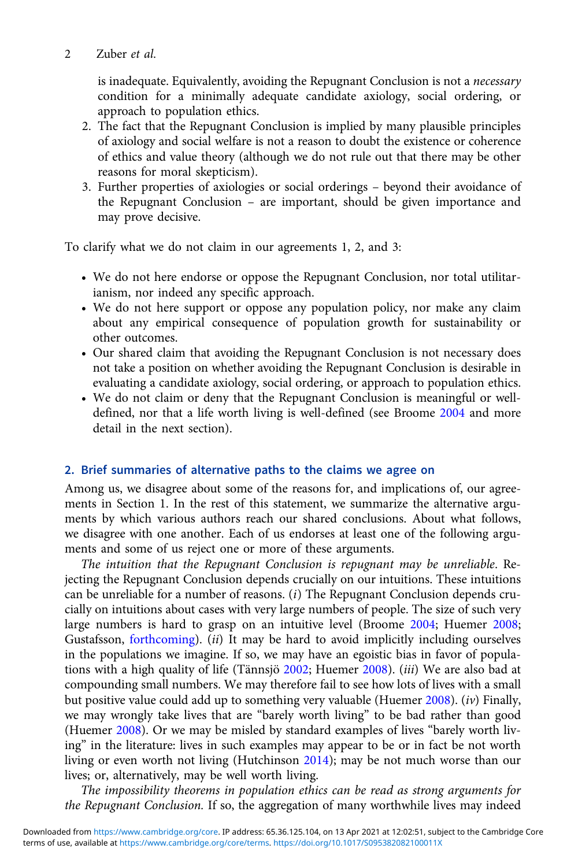is inadequate. Equivalently, avoiding the Repugnant Conclusion is not a necessary condition for a minimally adequate candidate axiology, social ordering, or approach to population ethics.

- 2. The fact that the Repugnant Conclusion is implied by many plausible principles of axiology and social welfare is not a reason to doubt the existence or coherence of ethics and value theory (although we do not rule out that there may be other reasons for moral skepticism).
- 3. Further properties of axiologies or social orderings beyond their avoidance of the Repugnant Conclusion – are important, should be given importance and may prove decisive.

To clarify what we do not claim in our agreements 1, 2, and 3:

- We do not here endorse or oppose the Repugnant Conclusion, nor total utilitarianism, nor indeed any specific approach.
- We do not here support or oppose any population policy, nor make any claim about any empirical consequence of population growth for sustainability or other outcomes.
- Our shared claim that avoiding the Repugnant Conclusion is not necessary does not take a position on whether avoiding the Repugnant Conclusion is desirable in evaluating a candidate axiology, social ordering, or approach to population ethics.
- We do not claim or deny that the Repugnant Conclusion is meaningful or welldefined, nor that a life worth living is well-defined (see Broome [2004](#page-3-0) and more detail in the next section).

### 2. Brief summaries of alternative paths to the claims we agree on

Among us, we disagree about some of the reasons for, and implications of, our agreements in Section 1. In the rest of this statement, we summarize the alternative arguments by which various authors reach our shared conclusions. About what follows, we disagree with one another. Each of us endorses at least one of the following arguments and some of us reject one or more of these arguments.

The intuition that the Repugnant Conclusion is repugnant may be unreliable. Rejecting the Repugnant Conclusion depends crucially on our intuitions. These intuitions can be unreliable for a number of reasons. (i) The Repugnant Conclusion depends crucially on intuitions about cases with very large numbers of people. The size of such very large numbers is hard to grasp on an intuitive level (Broome [2004](#page-3-0); Huemer [2008](#page-3-0); Gustafsson, [forthcoming](#page-3-0)). (ii) It may be hard to avoid implicitly including ourselves in the populations we imagine. If so, we may have an egoistic bias in favor of popula-tions with a high quality of life (Tännsjö [2002](#page-4-0); Huemer [2008](#page-3-0)). (iii) We are also bad at compounding small numbers. We may therefore fail to see how lots of lives with a small but positive value could add up to something very valuable (Huemer [2008\)](#page-3-0). (iv) Finally, we may wrongly take lives that are "barely worth living" to be bad rather than good (Huemer [2008](#page-3-0)). Or we may be misled by standard examples of lives "barely worth living" in the literature: lives in such examples may appear to be or in fact be not worth living or even worth not living (Hutchinson [2014](#page-3-0)); may be not much worse than our lives; or, alternatively, may be well worth living.

The impossibility theorems in population ethics can be read as strong arguments for the Repugnant Conclusion. If so, the aggregation of many worthwhile lives may indeed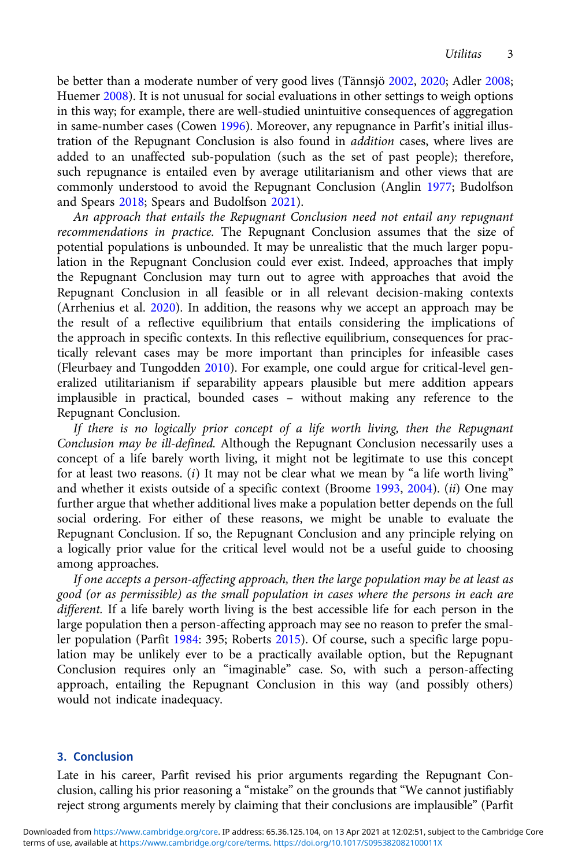be better than a moderate number of very good lives (Tännsjö [2002](#page-4-0), [2020](#page-4-0); Adler [2008;](#page-3-0) Huemer [2008\)](#page-3-0). It is not unusual for social evaluations in other settings to weigh options in this way; for example, there are well-studied unintuitive consequences of aggregation in same-number cases (Cowen [1996](#page-3-0)). Moreover, any repugnance in Parfit's initial illustration of the Repugnant Conclusion is also found in addition cases, where lives are added to an unaffected sub-population (such as the set of past people); therefore, such repugnance is entailed even by average utilitarianism and other views that are commonly understood to avoid the Repugnant Conclusion (Anglin [1977;](#page-3-0) Budolfson and Spears [2018](#page-3-0); Spears and Budolfson [2021\)](#page-4-0).

An approach that entails the Repugnant Conclusion need not entail any repugnant recommendations in practice. The Repugnant Conclusion assumes that the size of potential populations is unbounded. It may be unrealistic that the much larger population in the Repugnant Conclusion could ever exist. Indeed, approaches that imply the Repugnant Conclusion may turn out to agree with approaches that avoid the Repugnant Conclusion in all feasible or in all relevant decision-making contexts (Arrhenius et al. [2020\)](#page-3-0). In addition, the reasons why we accept an approach may be the result of a reflective equilibrium that entails considering the implications of the approach in specific contexts. In this reflective equilibrium, consequences for practically relevant cases may be more important than principles for infeasible cases (Fleurbaey and Tungodden [2010](#page-3-0)). For example, one could argue for critical-level generalized utilitarianism if separability appears plausible but mere addition appears implausible in practical, bounded cases – without making any reference to the Repugnant Conclusion.

If there is no logically prior concept of a life worth living, then the Repugnant Conclusion may be ill-defined. Although the Repugnant Conclusion necessarily uses a concept of a life barely worth living, it might not be legitimate to use this concept for at least two reasons.  $(i)$  It may not be clear what we mean by "a life worth living" and whether it exists outside of a specific context (Broome [1993](#page-3-0), [2004](#page-3-0)). (ii) One may further argue that whether additional lives make a population better depends on the full social ordering. For either of these reasons, we might be unable to evaluate the Repugnant Conclusion. If so, the Repugnant Conclusion and any principle relying on a logically prior value for the critical level would not be a useful guide to choosing among approaches.

If one accepts a person-affecting approach, then the large population may be at least as good (or as permissible) as the small population in cases where the persons in each are different. If a life barely worth living is the best accessible life for each person in the large population then a person-affecting approach may see no reason to prefer the smaller population (Parfit [1984:](#page-3-0) 395; Roberts [2015](#page-3-0)). Of course, such a specific large population may be unlikely ever to be a practically available option, but the Repugnant Conclusion requires only an "imaginable" case. So, with such a person-affecting approach, entailing the Repugnant Conclusion in this way (and possibly others) would not indicate inadequacy.

### 3. Conclusion

Late in his career, Parfit revised his prior arguments regarding the Repugnant Conclusion, calling his prior reasoning a "mistake" on the grounds that "We cannot justifiably reject strong arguments merely by claiming that their conclusions are implausible" (Parfit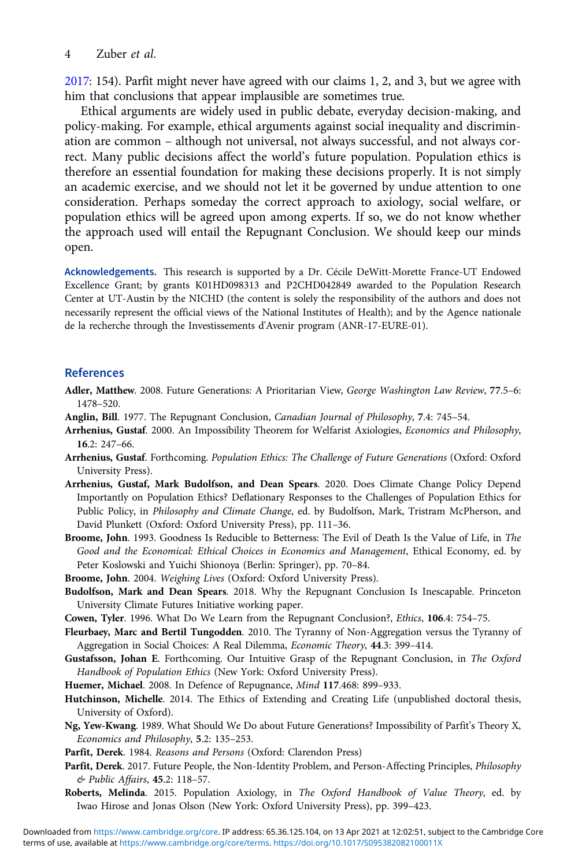#### <span id="page-3-0"></span>4 Zuber et al.

2017: 154). Parfit might never have agreed with our claims 1, 2, and 3, but we agree with him that conclusions that appear implausible are sometimes true.

Ethical arguments are widely used in public debate, everyday decision-making, and policy-making. For example, ethical arguments against social inequality and discrimination are common – although not universal, not always successful, and not always correct. Many public decisions affect the world's future population. Population ethics is therefore an essential foundation for making these decisions properly. It is not simply an academic exercise, and we should not let it be governed by undue attention to one consideration. Perhaps someday the correct approach to axiology, social welfare, or population ethics will be agreed upon among experts. If so, we do not know whether the approach used will entail the Repugnant Conclusion. We should keep our minds open.

Acknowledgements. This research is supported by a Dr. Cécile DeWitt-Morette France-UT Endowed Excellence Grant; by grants K01HD098313 and P2CHD042849 awarded to the Population Research Center at UT-Austin by the NICHD (the content is solely the responsibility of the authors and does not necessarily represent the official views of the National Institutes of Health); and by the Agence nationale de la recherche through the Investissements d'Avenir program (ANR-17-EURE-01).

## References

- Adler, Matthew. 2008. Future Generations: A Prioritarian View, George Washington Law Review, 77.5–6: 1478–520.
- Anglin, Bill. 1977. The Repugnant Conclusion, Canadian Journal of Philosophy, 7.4: 745–54.
- Arrhenius, Gustaf. 2000. An Impossibility Theorem for Welfarist Axiologies, Economics and Philosophy, 16.2: 247–66.
- Arrhenius, Gustaf. Forthcoming. Population Ethics: The Challenge of Future Generations (Oxford: Oxford University Press).
- Arrhenius, Gustaf, Mark Budolfson, and Dean Spears. 2020. Does Climate Change Policy Depend Importantly on Population Ethics? Deflationary Responses to the Challenges of Population Ethics for Public Policy, in Philosophy and Climate Change, ed. by Budolfson, Mark, Tristram McPherson, and David Plunkett (Oxford: Oxford University Press), pp. 111–36.
- Broome, John. 1993. Goodness Is Reducible to Betterness: The Evil of Death Is the Value of Life, in The Good and the Economical: Ethical Choices in Economics and Management, Ethical Economy, ed. by Peter Koslowski and Yuichi Shionoya (Berlin: Springer), pp. 70–84.
- Broome, John. 2004. Weighing Lives (Oxford: Oxford University Press).
- Budolfson, Mark and Dean Spears. 2018. Why the Repugnant Conclusion Is Inescapable. Princeton University Climate Futures Initiative working paper.
- Cowen, Tyler. 1996. What Do We Learn from the Repugnant Conclusion?, Ethics, 106.4: 754–75.
- Fleurbaey, Marc and Bertil Tungodden. 2010. The Tyranny of Non-Aggregation versus the Tyranny of Aggregation in Social Choices: A Real Dilemma, Economic Theory, 44.3: 399–414.
- Gustafsson, Johan E. Forthcoming. Our Intuitive Grasp of the Repugnant Conclusion, in The Oxford Handbook of Population Ethics (New York: Oxford University Press).
- Huemer, Michael. 2008. In Defence of Repugnance, Mind 117.468: 899–933.
- Hutchinson, Michelle. 2014. The Ethics of Extending and Creating Life (unpublished doctoral thesis, University of Oxford).
- Ng, Yew-Kwang. 1989. What Should We Do about Future Generations? Impossibility of Parfit's Theory X, Economics and Philosophy, 5.2: 135–253.
- Parfit, Derek. 1984. Reasons and Persons (Oxford: Clarendon Press)
- Parfit, Derek. 2017. Future People, the Non-Identity Problem, and Person-Affecting Principles, Philosophy & Public Affairs, 45.2: 118–57.
- Roberts, Melinda. 2015. Population Axiology, in The Oxford Handbook of Value Theory, ed. by Iwao Hirose and Jonas Olson (New York: Oxford University Press), pp. 399–423.